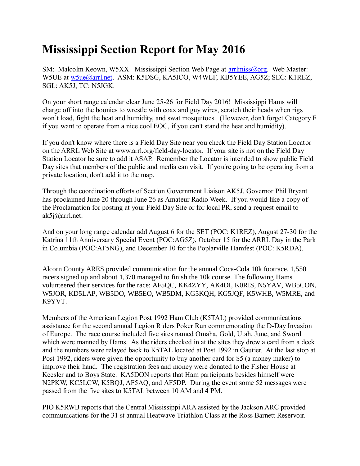## **Mississippi Section Report for May 2016**

SM: Malcolm Keown, W5XX. Mississippi Section Web Page at [arrlmiss@org.](mailto:arrlmiss@org) Web Master: W5UE at [w5ue@arrl.net.](mailto:w5ue@arrl.net) ASM: K5DSG, KA5ICO, W4WLF, KB5YEE, AG5Z; SEC: K1REZ, SGL: AK5J, TC: N5JGK.

On your short range calendar clear June 25-26 for Field Day 2016! Mississippi Hams will charge off into the boonies to wrestle with coax and guy wires, scratch their heads when rigs won't load, fight the heat and humidity, and swat mosquitoes. (However, don't forget Category F if you want to operate from a nice cool EOC, if you can't stand the heat and humidity).

If you don't know where there is a Field Day Site near you check the Field Day Station Locator on the ARRL Web Site at www.arrl.org/field-day-locator. If your site is not on the Field Day Station Locator be sure to add it ASAP. Remember the Locator is intended to show public Field Day sites that members of the public and media can visit. If you're going to be operating from a private location, don't add it to the map.

Through the coordination efforts of Section Government Liaison AK5J, Governor Phil Bryant has proclaimed June 20 through June 26 as Amateur Radio Week. If you would like a copy of the Proclamation for posting at your Field Day Site or for local PR, send a request email to ak5j@arrl.net.

And on your long range calendar add August 6 for the SET (POC: K1REZ), August 27-30 for the Katrina 11th Anniversary Special Event (POC:AG5Z), October 15 for the ARRL Day in the Park in Columbia (POC:AF5NG), and December 10 for the Poplarville Hamfest (POC: K5RDA).

Alcorn County ARES provided communication for the annual Coca-Cola 10k footrace. 1,550 racers signed up and about 1,370 managed to finish the 10k course. The following Hams volunteered their services for the race: AF5QC, KK4ZYY, AK4DI, K0RIS, N5YAV, WB5CON, W5JOR, KD5LAP, WB5DO, WB5EO, WB5DM, KG5KQH, KG5JQF, K5WHB, W5MRE, and K9YVT.

Members of the American Legion Post 1992 Ham Club (K5TAL) provided communications assistance for the second annual Legion Riders Poker Run commemorating the D-Day Invasion of Europe. The race course included five sites named Omaha, Gold, Utah, June, and Sword which were manned by Hams. As the riders checked in at the sites they drew a card from a deck and the numbers were relayed back to K5TAL located at Post 1992 in Gautier. At the last stop at Post 1992, riders were given the opportunity to buy another card for \$5 (a money maker) to improve their hand. The registration fees and money were donated to the Fisher House at Keesler and to Boys State. KA5DON reports that Ham participants besides himself were N2PKW, KC5LCW, K5BQJ, AF5AQ, and AF5DP. During the event some 52 messages were passed from the five sites to K5TAL between 10 AM and 4 PM.

PIO K5RWB reports that the Central Mississippi ARA assisted by the Jackson ARC provided communications for the 31 st annual Heatwave Triathlon Class at the Ross Barnett Reservoir.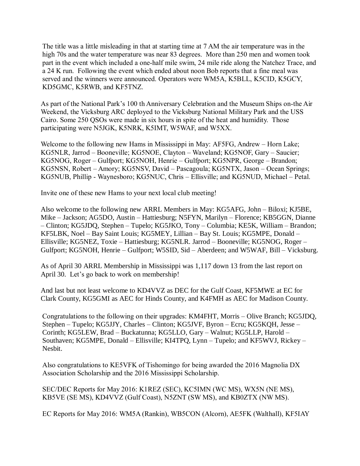The title was a little misleading in that at starting time at 7 AM the air temperature was in the high 70s and the water temperature was near 83 degrees. More than 250 men and women took part in the event which included a one-half mile swim, 24 mile ride along the Natchez Trace, and a 24 K run. Following the event which ended about noon Bob reports that a fine meal was served and the winners were announced. Operators were WM5A, K5BLL, K5CID, K5GCY, KD5GMC, K5RWB, and KF5TNZ.

As part of the National Park's 100 th Anniversary Celebration and the Museum Ships on-the Air Weekend, the Vicksburg ARC deployed to the Vicksburg National Military Park and the USS Cairo. Some 250 QSOs were made in six hours in spite of the heat and humidity. Those participating were N5JGK, K5NRK, K5IMT, W5WAF, and W5XX.

Welcome to the following new Hams in Mississippi in May: AF5FG, Andrew – Horn Lake; KG5NLR, Jarrod – Booneville; KG5NOE, Clayton – Waveland; KG5NOF, Gary – Saucier; KG5NOG, Roger – Gulfport; KG5NOH, Henrie – Gulfport; KG5NPR, George – Brandon; KG5NSN, Robert – Amory; KG5NSV, David – Pascagoula; KG5NTX, Jason – Ocean Springs; KG5NUB, Phillip - Waynesboro; KG5NUC, Chris – Ellisville; and KG5NUD, Michael – Petal.

Invite one of these new Hams to your next local club meeting!

Also welcome to the following new ARRL Members in May: KG5AFG, John – Biloxi; KJ5BE, Mike – Jackson; AG5DO, Austin – Hattiesburg; N5FYN, Marilyn – Florence; KB5GGN, Dianne – Clinton; KG5JDQ, Stephen – Tupelo; KG5JKO, Tony – Columbia; KE5K, William – Brandon; KF5LBK, Noel – Bay Saint Louis; KG5MEY, Lillian – Bay St. Louis; KG5MPE, Donald – Ellisville; KG5NEZ, Toxie – Hattiesburg; KG5NLR. Jarrod – Booneville; KG5NOG, Roger – Gulfport; KG5NOH, Henrie – Gulfport; W5SID, Sid – Aberdeen; and W5WAF, Bill – Vicksburg.

As of April 30 ARRL Membership in Mississippi was 1,117 down 13 from the last report on April 30. Let's go back to work on membership!

And last but not least welcome to KD4VVZ as DEC for the Gulf Coast, KF5MWE at EC for Clark County, KG5GMI as AEC for Hinds County, and K4FMH as AEC for Madison County.

Congratulations to the following on their upgrades: KM4FHT, Morris – Olive Branch; KG5JDQ, Stephen – Tupelo; KG5JJY, Charles – Clinton; KG5JVF, Byron – Ecru; KG5KQH, Jesse – Corinth; KG5LEW, Brad – Buckatunna; KG5LLO, Gary – Walnut; KG5LLP, Harold – Southaven; KG5MPE, Donald – Ellisville; KI4TPQ, Lynn – Tupelo; and KF5WVJ, Rickey – Nesbit.

Also congratulations to KE5VFK of Tishomingo for being awarded the 2016 Magnolia DX Association Scholarship and the 2016 Mississippi Scholarship.

SEC/DEC Reports for May 2016: K1REZ (SEC), KC5IMN (WC MS), WX5N (NE MS), KB5VE (SE MS), KD4VVZ (Gulf Coast), N5ZNT (SW MS), and KB0ZTX (NW MS).

EC Reports for May 2016: WM5A (Rankin), WB5CON (Alcorn), AE5FK (Walthall), KF5IAY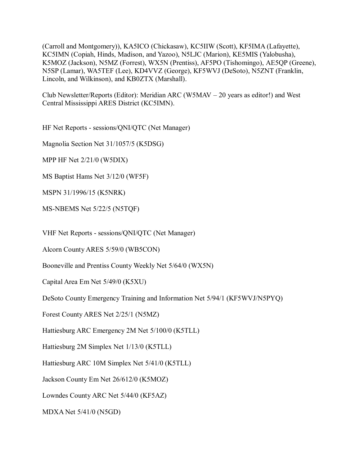(Carroll and Montgomery)), KA5ICO (Chickasaw), KC5IIW (Scott), KF5IMA (Lafayette), KC5IMN (Copiah, Hinds, Madison, and Yazoo), N5LJC (Marion), KE5MIS (Yalobusha), K5MOZ (Jackson), N5MZ (Forrest), WX5N (Prentiss), AF5PO (Tishomingo), AE5QP (Greene), N5SP (Lamar), WA5TEF (Lee), KD4VVZ (George), KF5WVJ (DeSoto), N5ZNT (Franklin, Lincoln, and Wilkinson), and KB0ZTX (Marshall).

Club Newsletter/Reports (Editor): Meridian ARC (W5MAV – 20 years as editor!) and West Central Mississippi ARES District (KC5IMN).

HF Net Reports - sessions/QNI/QTC (Net Manager)

Magnolia Section Net 31/1057/5 (K5DSG)

MPP HF Net 2/21/0 (W5DIX)

MS Baptist Hams Net 3/12/0 (WF5F)

MSPN 31/1996/15 (K5NRK)

MS-NBEMS Net 5/22/5 (N5TQF)

VHF Net Reports - sessions/QNI/QTC (Net Manager)

Alcorn County ARES 5/59/0 (WB5CON)

Booneville and Prentiss County Weekly Net 5/64/0 (WX5N)

Capital Area Em Net 5/49/0 (K5XU)

DeSoto County Emergency Training and Information Net 5/94/1 (KF5WVJ/N5PYQ)

Forest County ARES Net 2/25/1 (N5MZ)

Hattiesburg ARC Emergency 2M Net 5/100/0 (K5TLL)

Hattiesburg 2M Simplex Net 1/13/0 (K5TLL)

Hattiesburg ARC 10M Simplex Net 5/41/0 (K5TLL)

Jackson County Em Net 26/612/0 (K5MOZ)

Lowndes County ARC Net 5/44/0 (KF5AZ)

MDXA Net 5/41/0 (N5GD)